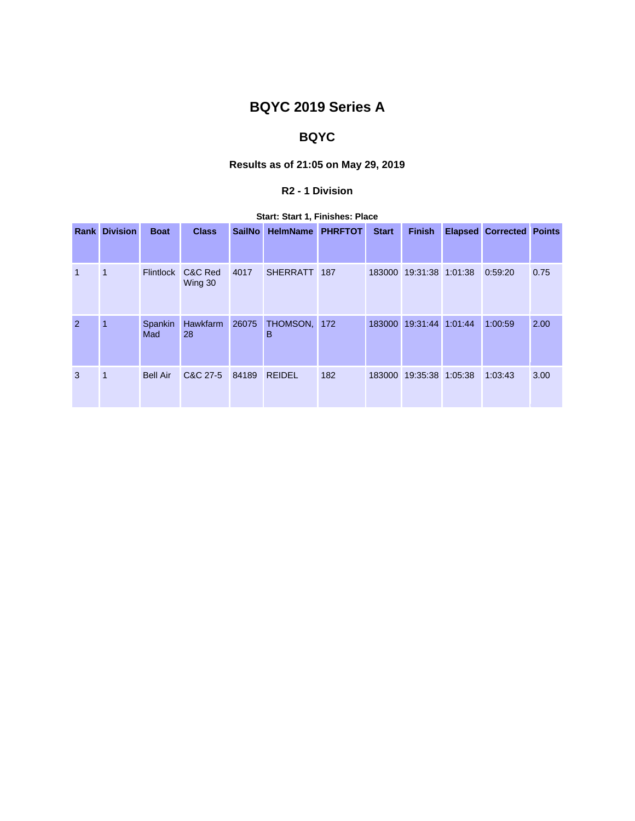# **BQYC 2019 Series A**

## **BQYC**

### **Results as of 21:05 on May 29, 2019**

#### **R2 - 1 Division**

|  |   | <b>Rank Division</b> | <b>Boat</b>      | <b>Class</b>         | <b>SailNo</b> | HelmName PHRFTOT |     | <b>Start</b> | <b>Finish</b>           | <b>Elapsed Corrected Points</b> |      |
|--|---|----------------------|------------------|----------------------|---------------|------------------|-----|--------------|-------------------------|---------------------------------|------|
|  | 1 | 1                    | <b>Flintlock</b> | C&C Red<br>Wing 30   | 4017          | SHERRATT 187     |     |              | 183000 19:31:38 1:01:38 | 0:59:20                         | 0.75 |
|  | 2 | 1                    | Spankin<br>Mad   | Hawkfarm 26075<br>28 |               | THOMSON,<br>в    | 172 | 183000       | 19:31:44 1:01:44        | 1:00:59                         | 2.00 |
|  | 3 | 1                    | <b>Bell Air</b>  | C&C 27-5             | 84189         | <b>REIDEL</b>    | 182 |              | 183000 19:35:38 1:05:38 | 1:03:43                         | 3.00 |

**Start: Start 1, Finishes: Place**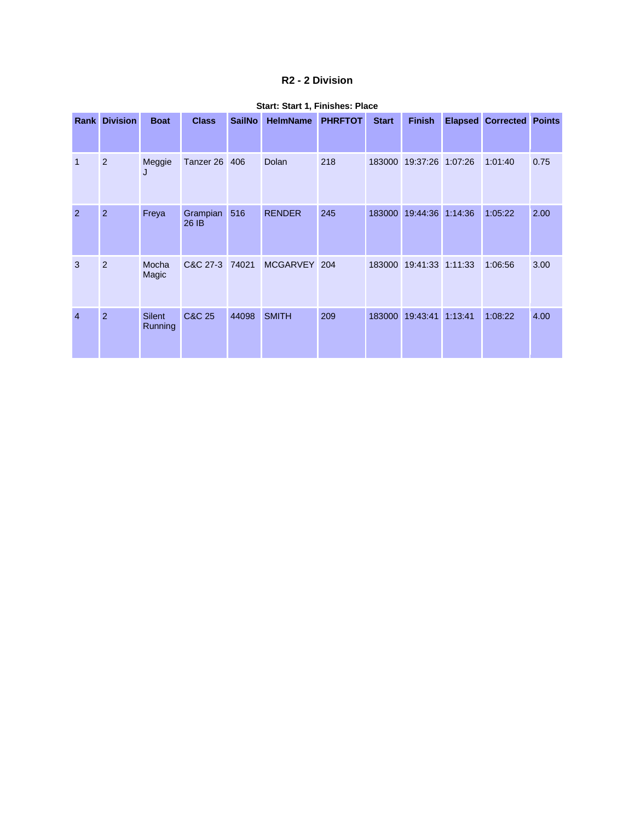#### **R2 - 2 Division**

| Rank           | <b>Division</b> | <b>Boat</b>              | <b>Class</b>         | <b>SailNo</b> | <b>HelmName</b> | <b>PHRFTOT</b> | <b>Start</b> | <b>Finish</b>    | <b>Elapsed</b> | <b>Corrected Points</b> |      |
|----------------|-----------------|--------------------------|----------------------|---------------|-----------------|----------------|--------------|------------------|----------------|-------------------------|------|
| 1              | $\overline{2}$  | Meggie<br>J              | <b>Tanzer 26 406</b> |               | Dolan           | 218            | 183000       | 19:37:26 1:07:26 |                | 1:01:40                 | 0.75 |
| $\overline{2}$ | $\overline{2}$  | Freya                    | Grampian<br>26 IB    | 516           | <b>RENDER</b>   | 245            | 183000       | 19:44:36         | 1:14:36        | 1:05:22                 | 2.00 |
| 3              | 2               | Mocha<br>Magic           | C&C 27-3 74021       |               | MCGARVEY 204    |                | 183000       | 19:41:33 1:11:33 |                | 1:06:56                 | 3.00 |
| $\overline{4}$ | $\overline{2}$  | <b>Silent</b><br>Running | C&C 25               | 44098         | <b>SMITH</b>    | 209            | 183000       | 19:43:41         | 1:13:41        | 1:08:22                 | 4.00 |

#### **Start: Start 1, Finishes: Place**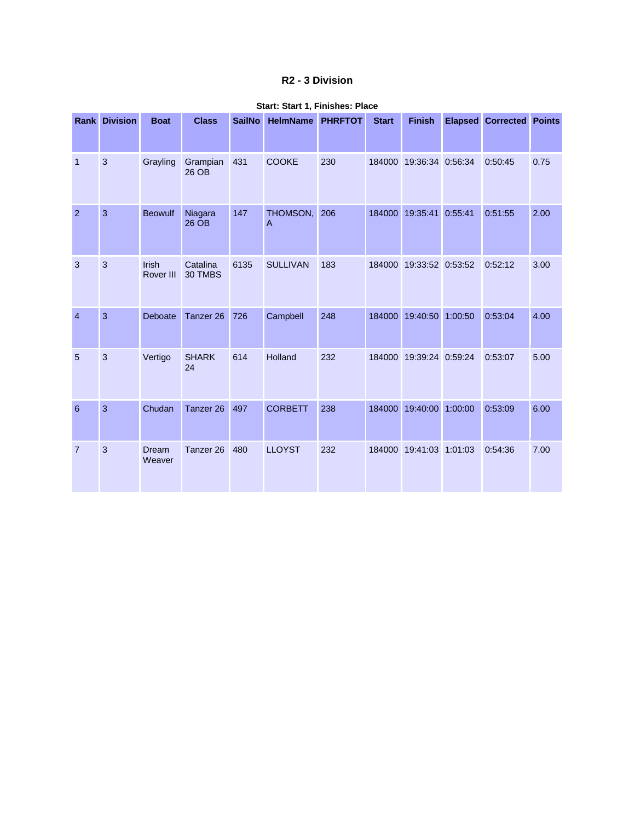#### **R2 - 3 Division**

|                 | <b>Rank Division</b> | <b>Boat</b>        | <b>Class</b>         | <b>SailNo</b> | <b>HelmName</b> | <b>PHRFTOT</b> | <b>Start</b> | <b>Finish</b>    |         | <b>Elapsed Corrected Points</b> |      |
|-----------------|----------------------|--------------------|----------------------|---------------|-----------------|----------------|--------------|------------------|---------|---------------------------------|------|
| $\overline{1}$  | $\mathbf{3}$         | Grayling           | Grampian<br>26 OB    | 431           | <b>COOKE</b>    | 230            | 184000       | 19:36:34 0:56:34 |         | 0:50:45                         | 0.75 |
| $\overline{2}$  | 3                    | <b>Beowulf</b>     | Niagara<br>26 OB     | 147           | THOMSON,<br>Α   | 206            | 184000       | 19:35:41         | 0:55:41 | 0:51:55                         | 2.00 |
| 3               | 3                    | Irish<br>Rover III | Catalina<br>30 TMBS  | 6135          | <b>SULLIVAN</b> | 183            | 184000       | 19:33:52 0:53:52 |         | 0:52:12                         | 3.00 |
| $\overline{4}$  | 3                    | Deboate            | Tanzer <sub>26</sub> | 726           | Campbell        | 248            | 184000       | 19:40:50         | 1:00:50 | 0:53:04                         | 4.00 |
| 5               | 3                    | Vertigo            | <b>SHARK</b><br>24   | 614           | Holland         | 232            | 184000       | 19:39:24 0:59:24 |         | 0:53:07                         | 5.00 |
| $6\phantom{1}6$ | 3                    | Chudan             | Tanzer <sub>26</sub> | 497           | <b>CORBETT</b>  | 238            | 184000       | 19:40:00         | 1:00:00 | 0:53:09                         | 6.00 |
| $\overline{7}$  | 3                    | Dream<br>Weaver    | Tanzer 26            | 480           | <b>LLOYST</b>   | 232            | 184000       | 19:41:03         | 1:01:03 | 0:54:36                         | 7.00 |

#### **Start: Start 1, Finishes: Place**